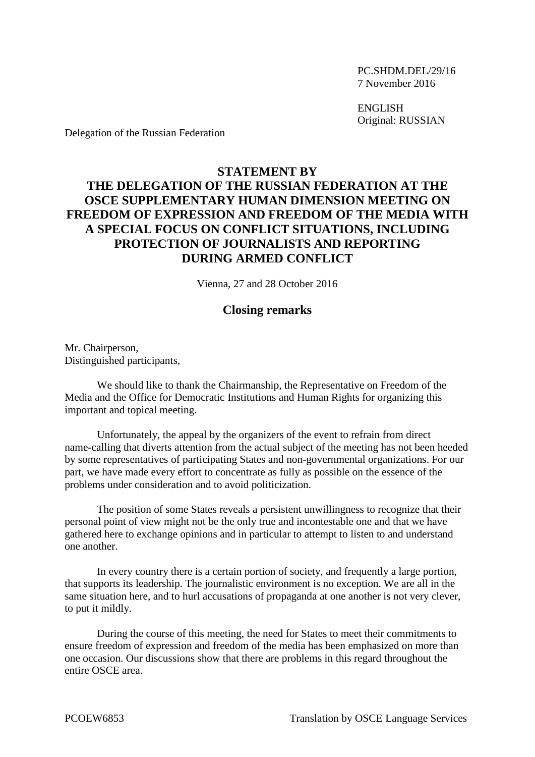PC.SHDM.DEL/29/16 7 November 2016

ENGLISH Original: RUSSIAN

Delegation of the Russian Federation

## **STATEMENT BY THE DELEGATION OF THE RUSSIAN FEDERATION AT THE OSCE SUPPLEMENTARY HUMAN DIMENSION MEETING ON FREEDOM OF EXPRESSION AND FREEDOM OF THE MEDIA WITH A SPECIAL FOCUS ON CONFLICT SITUATIONS, INCLUDING PROTECTION OF JOURNALISTS AND REPORTING DURING ARMED CONFLICT**

Vienna, 27 and 28 October 2016

## **Closing remarks**

Mr. Chairperson, Distinguished participants,

We should like to thank the Chairmanship, the Representative on Freedom of the Media and the Office for Democratic Institutions and Human Rights for organizing this important and topical meeting.

Unfortunately, the appeal by the organizers of the event to refrain from direct name-calling that diverts attention from the actual subject of the meeting has not been heeded by some representatives of participating States and non-governmental organizations. For our part, we have made every effort to concentrate as fully as possible on the essence of the problems under consideration and to avoid politicization.

The position of some States reveals a persistent unwillingness to recognize that their personal point of view might not be the only true and incontestable one and that we have gathered here to exchange opinions and in particular to attempt to listen to and understand one another.

In every country there is a certain portion of society, and frequently a large portion, that supports its leadership. The journalistic environment is no exception. We are all in the same situation here, and to hurl accusations of propaganda at one another is not very clever, to put it mildly.

During the course of this meeting, the need for States to meet their commitments to ensure freedom of expression and freedom of the media has been emphasized on more than one occasion. Our discussions show that there are problems in this regard throughout the entire OSCE area.